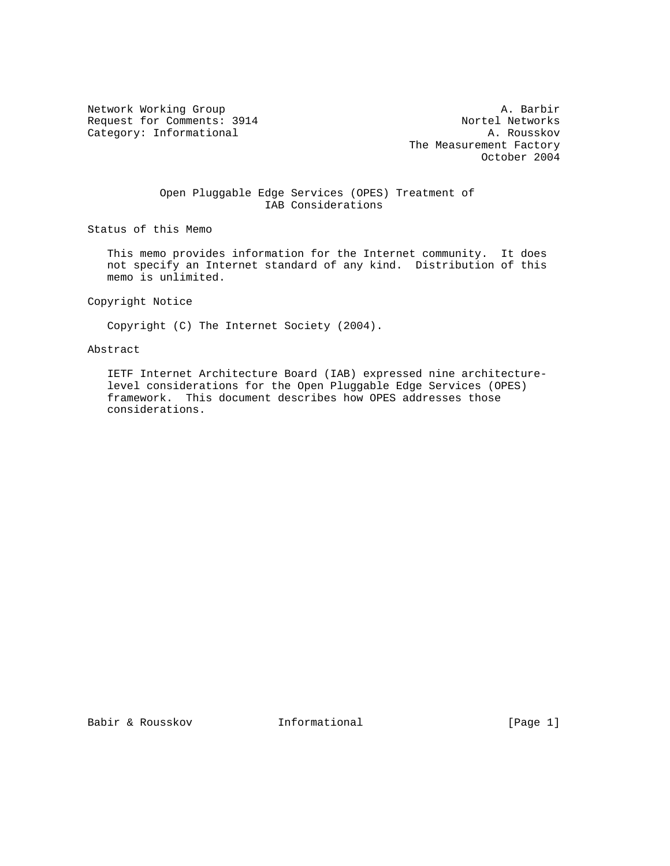Request for Comments: 3914 Nortel Networks<br>
Category: Informational A. Rousskov Category: Informational

Network Working Group and the set of the set of the set of the A. Barbir The Measurement Factory October 2004

# Open Pluggable Edge Services (OPES) Treatment of IAB Considerations

Status of this Memo

 This memo provides information for the Internet community. It does not specify an Internet standard of any kind. Distribution of this memo is unlimited.

Copyright Notice

Copyright (C) The Internet Society (2004).

# Abstract

 IETF Internet Architecture Board (IAB) expressed nine architecture level considerations for the Open Pluggable Edge Services (OPES) framework. This document describes how OPES addresses those considerations.

Babir & Rousskov **Informational** [Page 1]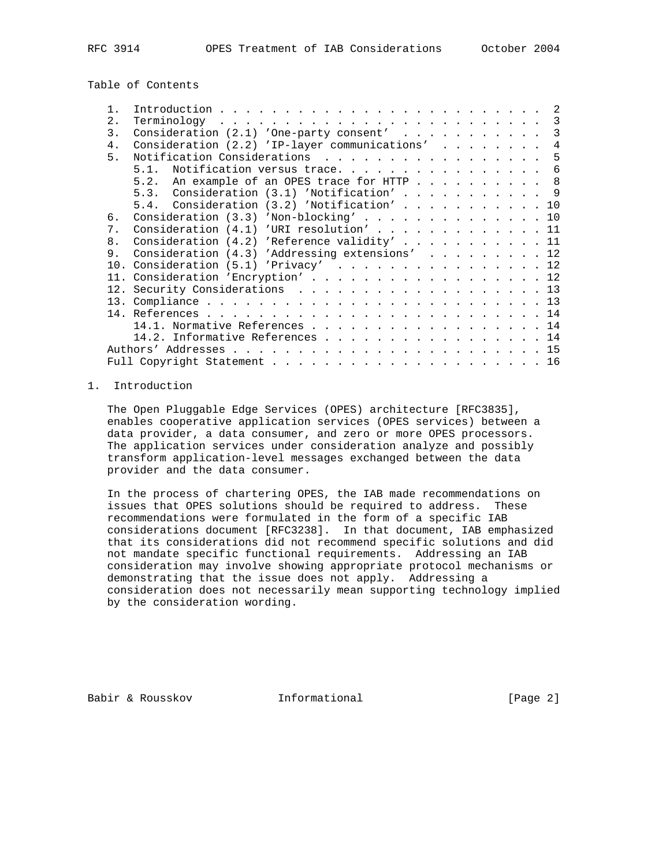Table of Contents

| 2.             |                                                                 |
|----------------|-----------------------------------------------------------------|
| 3.             | Consideration $(2.1)$ 'One-party consent'<br>$\mathcal{R}$      |
| 4.             | Consideration (2.2) 'IP-layer communications'<br>$\overline{4}$ |
| 5 <sub>1</sub> | Notification Considerations 5                                   |
|                | 5.1. Notification versus trace.<br>6                            |
|                | 5.2. An example of an OPES trace for HTTP 8                     |
|                | 5.3. Consideration (3.1) 'Notification' 9                       |
|                | 5.4. Consideration (3.2) 'Notification' 10                      |
| б.             | Consideration (3.3) 'Non-blocking' 10                           |
| 7 <sub>1</sub> | Consideration (4.1) 'URI resolution' 11                         |
| 8.             | Consideration (4.2) 'Reference validity' 11                     |
| 9.             | Consideration (4.3) 'Addressing extensions' 12                  |
|                | 10. Consideration (5.1) 'Privacy' 12                            |
|                | 11. Consideration 'Encryption' 12                               |
|                | 12. Security Considerations 13                                  |
|                |                                                                 |
|                |                                                                 |
|                | 14.1. Normative References 14                                   |
|                | 14.2. Informative References 14                                 |
|                |                                                                 |
|                |                                                                 |
|                |                                                                 |

### 1. Introduction

 The Open Pluggable Edge Services (OPES) architecture [RFC3835], enables cooperative application services (OPES services) between a data provider, a data consumer, and zero or more OPES processors. The application services under consideration analyze and possibly transform application-level messages exchanged between the data provider and the data consumer.

 In the process of chartering OPES, the IAB made recommendations on issues that OPES solutions should be required to address. These recommendations were formulated in the form of a specific IAB considerations document [RFC3238]. In that document, IAB emphasized that its considerations did not recommend specific solutions and did not mandate specific functional requirements. Addressing an IAB consideration may involve showing appropriate protocol mechanisms or demonstrating that the issue does not apply. Addressing a consideration does not necessarily mean supporting technology implied by the consideration wording.

Babir & Rousskov **Informational** [Page 2]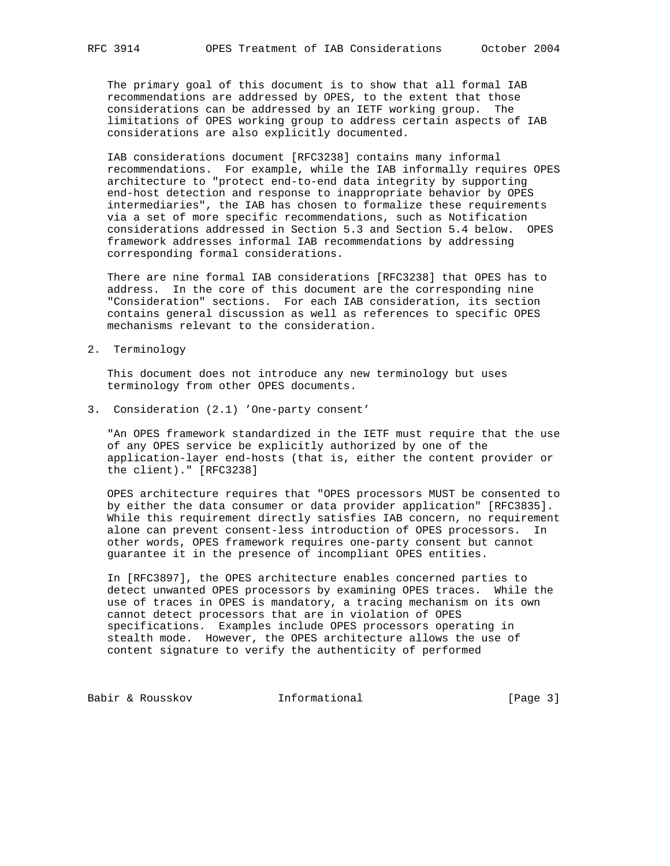The primary goal of this document is to show that all formal IAB recommendations are addressed by OPES, to the extent that those considerations can be addressed by an IETF working group. The limitations of OPES working group to address certain aspects of IAB considerations are also explicitly documented.

 IAB considerations document [RFC3238] contains many informal recommendations. For example, while the IAB informally requires OPES architecture to "protect end-to-end data integrity by supporting end-host detection and response to inappropriate behavior by OPES intermediaries", the IAB has chosen to formalize these requirements via a set of more specific recommendations, such as Notification considerations addressed in Section 5.3 and Section 5.4 below. OPES framework addresses informal IAB recommendations by addressing corresponding formal considerations.

 There are nine formal IAB considerations [RFC3238] that OPES has to address. In the core of this document are the corresponding nine "Consideration" sections. For each IAB consideration, its section contains general discussion as well as references to specific OPES mechanisms relevant to the consideration.

2. Terminology

 This document does not introduce any new terminology but uses terminology from other OPES documents.

3. Consideration (2.1) 'One-party consent'

 "An OPES framework standardized in the IETF must require that the use of any OPES service be explicitly authorized by one of the application-layer end-hosts (that is, either the content provider or the client)." [RFC3238]

 OPES architecture requires that "OPES processors MUST be consented to by either the data consumer or data provider application" [RFC3835]. While this requirement directly satisfies IAB concern, no requirement alone can prevent consent-less introduction of OPES processors. In other words, OPES framework requires one-party consent but cannot guarantee it in the presence of incompliant OPES entities.

 In [RFC3897], the OPES architecture enables concerned parties to detect unwanted OPES processors by examining OPES traces. While the use of traces in OPES is mandatory, a tracing mechanism on its own cannot detect processors that are in violation of OPES specifications. Examples include OPES processors operating in stealth mode. However, the OPES architecture allows the use of content signature to verify the authenticity of performed

Babir & Rousskov 1nformational [Page 3]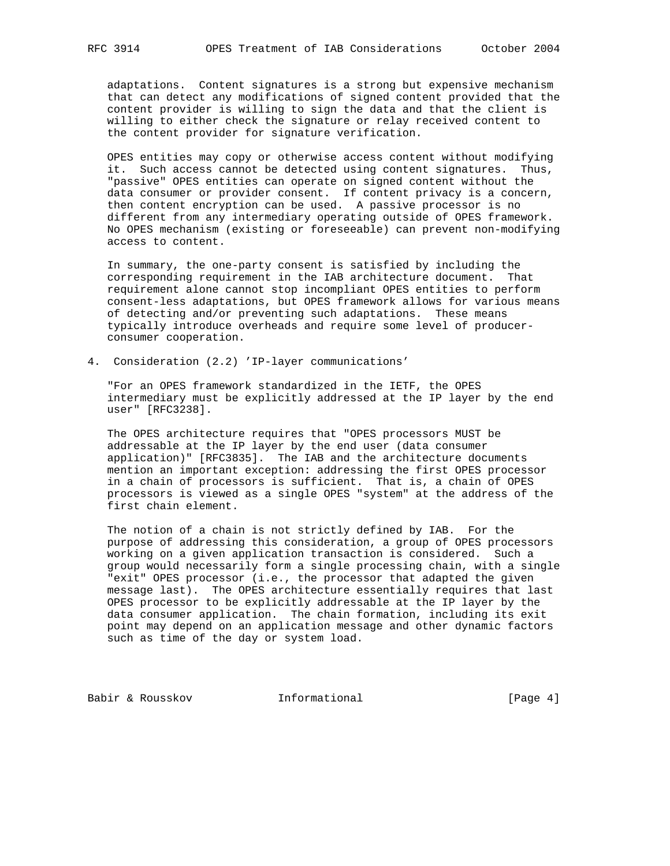adaptations. Content signatures is a strong but expensive mechanism that can detect any modifications of signed content provided that the content provider is willing to sign the data and that the client is willing to either check the signature or relay received content to the content provider for signature verification.

 OPES entities may copy or otherwise access content without modifying it. Such access cannot be detected using content signatures. Thus, "passive" OPES entities can operate on signed content without the data consumer or provider consent. If content privacy is a concern, then content encryption can be used. A passive processor is no different from any intermediary operating outside of OPES framework. No OPES mechanism (existing or foreseeable) can prevent non-modifying access to content.

 In summary, the one-party consent is satisfied by including the corresponding requirement in the IAB architecture document. That requirement alone cannot stop incompliant OPES entities to perform consent-less adaptations, but OPES framework allows for various means of detecting and/or preventing such adaptations. These means typically introduce overheads and require some level of producer consumer cooperation.

4. Consideration (2.2) 'IP-layer communications'

 "For an OPES framework standardized in the IETF, the OPES intermediary must be explicitly addressed at the IP layer by the end user" [RFC3238].

 The OPES architecture requires that "OPES processors MUST be addressable at the IP layer by the end user (data consumer application)" [RFC3835]. The IAB and the architecture documents mention an important exception: addressing the first OPES processor in a chain of processors is sufficient. That is, a chain of OPES processors is viewed as a single OPES "system" at the address of the first chain element.

 The notion of a chain is not strictly defined by IAB. For the purpose of addressing this consideration, a group of OPES processors working on a given application transaction is considered. Such a group would necessarily form a single processing chain, with a single "exit" OPES processor (i.e., the processor that adapted the given message last). The OPES architecture essentially requires that last OPES processor to be explicitly addressable at the IP layer by the data consumer application. The chain formation, including its exit point may depend on an application message and other dynamic factors such as time of the day or system load.

Babir & Rousskov **Informational** [Page 4]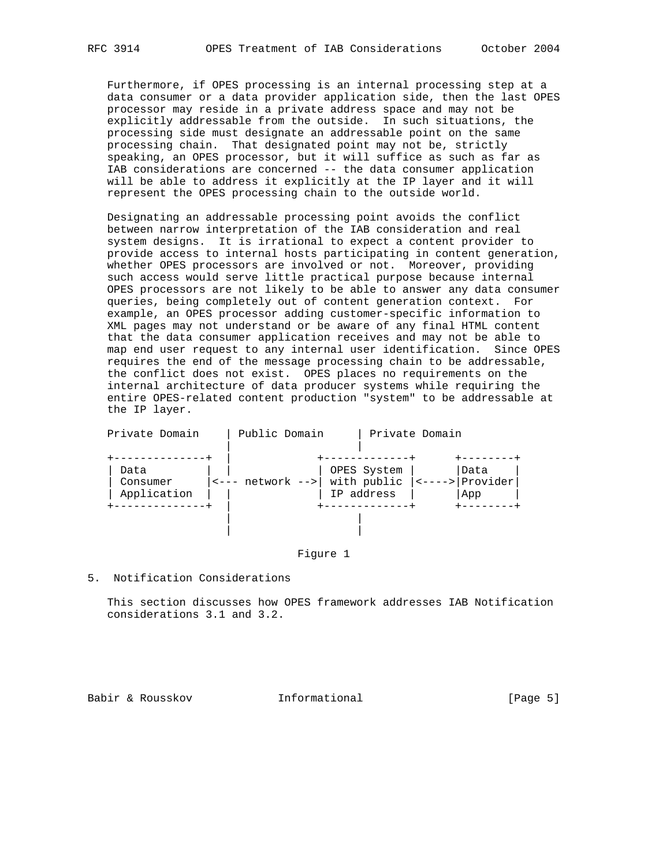Furthermore, if OPES processing is an internal processing step at a data consumer or a data provider application side, then the last OPES processor may reside in a private address space and may not be explicitly addressable from the outside. In such situations, the processing side must designate an addressable point on the same processing chain. That designated point may not be, strictly speaking, an OPES processor, but it will suffice as such as far as IAB considerations are concerned -- the data consumer application will be able to address it explicitly at the IP layer and it will represent the OPES processing chain to the outside world.

 Designating an addressable processing point avoids the conflict between narrow interpretation of the IAB consideration and real system designs. It is irrational to expect a content provider to provide access to internal hosts participating in content generation, whether OPES processors are involved or not. Moreover, providing such access would serve little practical purpose because internal OPES processors are not likely to be able to answer any data consumer queries, being completely out of content generation context. For example, an OPES processor adding customer-specific information to XML pages may not understand or be aware of any final HTML content that the data consumer application receives and may not be able to map end user request to any internal user identification. Since OPES requires the end of the message processing chain to be addressable, the conflict does not exist. OPES places no requirements on the internal architecture of data producer systems while requiring the entire OPES-related content production "system" to be addressable at the IP layer.

| Private Domain                  | Public Domain                                                  |                                          | Private Domain           |                         |
|---------------------------------|----------------------------------------------------------------|------------------------------------------|--------------------------|-------------------------|
| Data<br>Consumer<br>Application | $\left  \left\langle - - - \right $ network $\left  - \right $ | OPES System<br>with public<br>IP address | $\left  - - - - \right $ | Data<br>Provider<br>App |
|                                 |                                                                |                                          |                          |                         |

### Figure 1

### 5. Notification Considerations

 This section discusses how OPES framework addresses IAB Notification considerations 3.1 and 3.2.

Babir & Rousskov **Informational** [Page 5]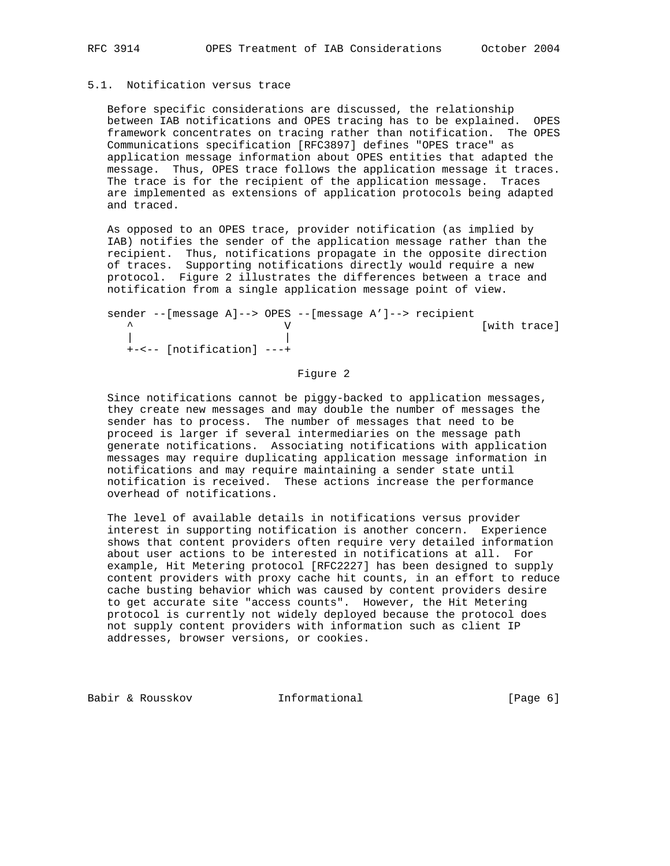# 5.1. Notification versus trace

 Before specific considerations are discussed, the relationship between IAB notifications and OPES tracing has to be explained. OPES framework concentrates on tracing rather than notification. The OPES Communications specification [RFC3897] defines "OPES trace" as application message information about OPES entities that adapted the message. Thus, OPES trace follows the application message it traces. The trace is for the recipient of the application message. Traces are implemented as extensions of application protocols being adapted and traced.

 As opposed to an OPES trace, provider notification (as implied by IAB) notifies the sender of the application message rather than the recipient. Thus, notifications propagate in the opposite direction of traces. Supporting notifications directly would require a new protocol. Figure 2 illustrates the differences between a trace and notification from a single application message point of view.

|  |                           |  | sender -- [message A]--> OPES -- [message A']--> recipient |  |              |
|--|---------------------------|--|------------------------------------------------------------|--|--------------|
|  |                           |  |                                                            |  | [with trace] |
|  |                           |  |                                                            |  |              |
|  | +-<-- [notification] ---+ |  |                                                            |  |              |

# Figure 2

 Since notifications cannot be piggy-backed to application messages, they create new messages and may double the number of messages the sender has to process. The number of messages that need to be proceed is larger if several intermediaries on the message path generate notifications. Associating notifications with application messages may require duplicating application message information in notifications and may require maintaining a sender state until notification is received. These actions increase the performance overhead of notifications.

 The level of available details in notifications versus provider interest in supporting notification is another concern. Experience shows that content providers often require very detailed information about user actions to be interested in notifications at all. For example, Hit Metering protocol [RFC2227] has been designed to supply content providers with proxy cache hit counts, in an effort to reduce cache busting behavior which was caused by content providers desire to get accurate site "access counts". However, the Hit Metering protocol is currently not widely deployed because the protocol does not supply content providers with information such as client IP addresses, browser versions, or cookies.

Babir & Rousskov **Informational** [Page 6]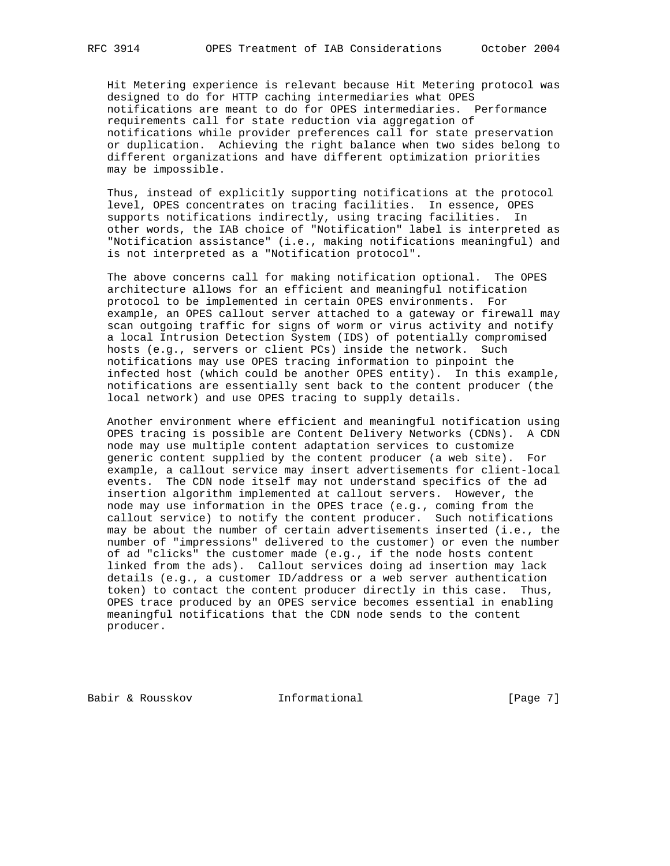Hit Metering experience is relevant because Hit Metering protocol was designed to do for HTTP caching intermediaries what OPES notifications are meant to do for OPES intermediaries. Performance requirements call for state reduction via aggregation of notifications while provider preferences call for state preservation or duplication. Achieving the right balance when two sides belong to different organizations and have different optimization priorities may be impossible.

 Thus, instead of explicitly supporting notifications at the protocol level, OPES concentrates on tracing facilities. In essence, OPES supports notifications indirectly, using tracing facilities. In other words, the IAB choice of "Notification" label is interpreted as "Notification assistance" (i.e., making notifications meaningful) and is not interpreted as a "Notification protocol".

 The above concerns call for making notification optional. The OPES architecture allows for an efficient and meaningful notification protocol to be implemented in certain OPES environments. For example, an OPES callout server attached to a gateway or firewall may scan outgoing traffic for signs of worm or virus activity and notify a local Intrusion Detection System (IDS) of potentially compromised hosts (e.g., servers or client PCs) inside the network. Such notifications may use OPES tracing information to pinpoint the infected host (which could be another OPES entity). In this example, notifications are essentially sent back to the content producer (the local network) and use OPES tracing to supply details.

 Another environment where efficient and meaningful notification using OPES tracing is possible are Content Delivery Networks (CDNs). A CDN node may use multiple content adaptation services to customize generic content supplied by the content producer (a web site). For example, a callout service may insert advertisements for client-local events. The CDN node itself may not understand specifics of the ad insertion algorithm implemented at callout servers. However, the node may use information in the OPES trace (e.g., coming from the callout service) to notify the content producer. Such notifications may be about the number of certain advertisements inserted (i.e., the number of "impressions" delivered to the customer) or even the number of ad "clicks" the customer made (e.g., if the node hosts content linked from the ads). Callout services doing ad insertion may lack details (e.g., a customer ID/address or a web server authentication token) to contact the content producer directly in this case. Thus, OPES trace produced by an OPES service becomes essential in enabling meaningful notifications that the CDN node sends to the content producer.

Babir & Rousskov **Informational** [Page 7]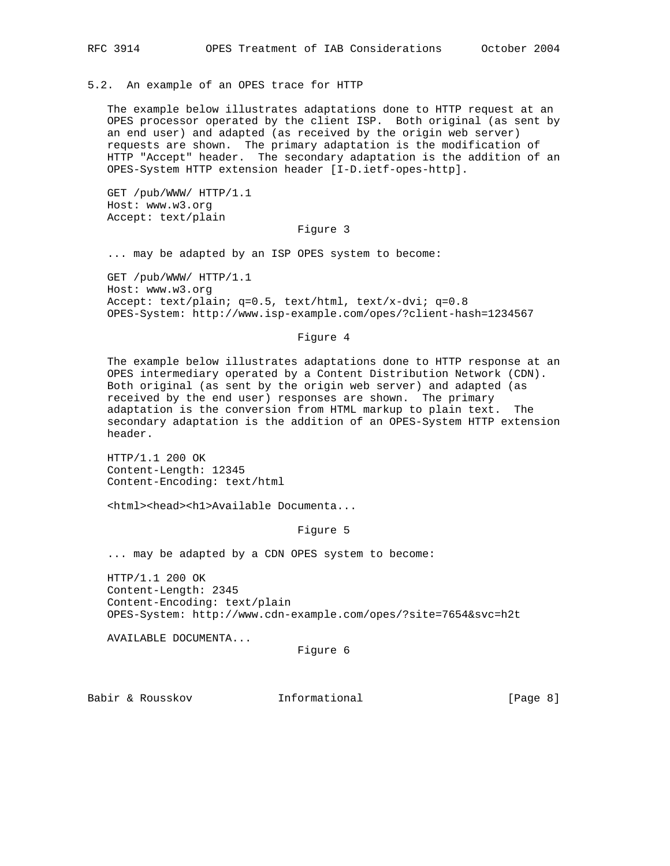5.2. An example of an OPES trace for HTTP

 The example below illustrates adaptations done to HTTP request at an OPES processor operated by the client ISP. Both original (as sent by an end user) and adapted (as received by the origin web server) requests are shown. The primary adaptation is the modification of HTTP "Accept" header. The secondary adaptation is the addition of an OPES-System HTTP extension header [I-D.ietf-opes-http].

 GET /pub/WWW/ HTTP/1.1 Host: www.w3.org Accept: text/plain

### Figure 3

... may be adapted by an ISP OPES system to become:

 GET /pub/WWW/ HTTP/1.1 Host: www.w3.org Accept: text/plain; q=0.5, text/html, text/x-dvi; q=0.8 OPES-System: http://www.isp-example.com/opes/?client-hash=1234567

## Figure 4

 The example below illustrates adaptations done to HTTP response at an OPES intermediary operated by a Content Distribution Network (CDN). Both original (as sent by the origin web server) and adapted (as received by the end user) responses are shown. The primary adaptation is the conversion from HTML markup to plain text. The secondary adaptation is the addition of an OPES-System HTTP extension header.

 HTTP/1.1 200 OK Content-Length: 12345 Content-Encoding: text/html

<html><head><h1>Available Documenta...

#### Figure 5

... may be adapted by a CDN OPES system to become:

 HTTP/1.1 200 OK Content-Length: 2345 Content-Encoding: text/plain OPES-System: http://www.cdn-example.com/opes/?site=7654&svc=h2t

AVAILABLE DOCUMENTA...

```
 Figure 6
```
Babir & Rousskov **Informational** [Page 8]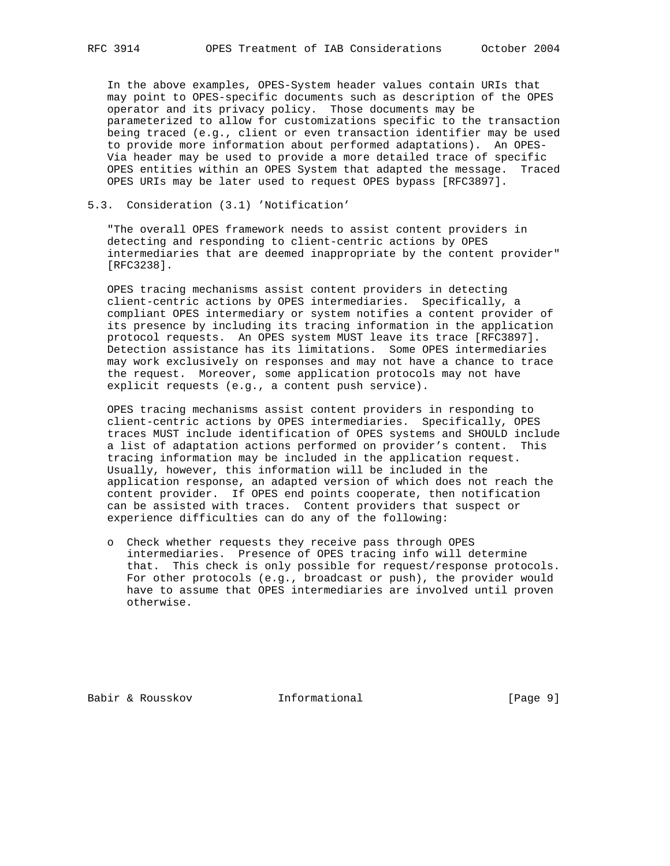In the above examples, OPES-System header values contain URIs that may point to OPES-specific documents such as description of the OPES operator and its privacy policy. Those documents may be parameterized to allow for customizations specific to the transaction being traced (e.g., client or even transaction identifier may be used to provide more information about performed adaptations). An OPES- Via header may be used to provide a more detailed trace of specific OPES entities within an OPES System that adapted the message. Traced OPES URIs may be later used to request OPES bypass [RFC3897].

### 5.3. Consideration (3.1) 'Notification'

 "The overall OPES framework needs to assist content providers in detecting and responding to client-centric actions by OPES intermediaries that are deemed inappropriate by the content provider" [RFC3238].

 OPES tracing mechanisms assist content providers in detecting client-centric actions by OPES intermediaries. Specifically, a compliant OPES intermediary or system notifies a content provider of its presence by including its tracing information in the application protocol requests. An OPES system MUST leave its trace [RFC3897]. Detection assistance has its limitations. Some OPES intermediaries may work exclusively on responses and may not have a chance to trace the request. Moreover, some application protocols may not have explicit requests (e.g., a content push service).

 OPES tracing mechanisms assist content providers in responding to client-centric actions by OPES intermediaries. Specifically, OPES traces MUST include identification of OPES systems and SHOULD include a list of adaptation actions performed on provider's content. This tracing information may be included in the application request. Usually, however, this information will be included in the application response, an adapted version of which does not reach the content provider. If OPES end points cooperate, then notification can be assisted with traces. Content providers that suspect or experience difficulties can do any of the following:

 o Check whether requests they receive pass through OPES intermediaries. Presence of OPES tracing info will determine that. This check is only possible for request/response protocols. For other protocols (e.g., broadcast or push), the provider would have to assume that OPES intermediaries are involved until proven otherwise.

Babir & Rousskov **Informational** [Page 9]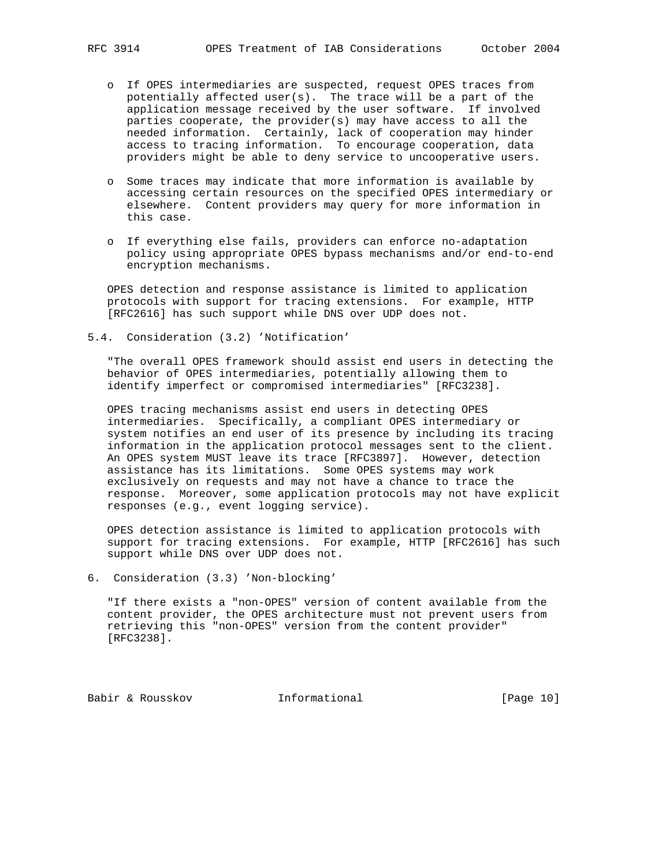- o If OPES intermediaries are suspected, request OPES traces from potentially affected user(s). The trace will be a part of the application message received by the user software. If involved parties cooperate, the provider(s) may have access to all the needed information. Certainly, lack of cooperation may hinder access to tracing information. To encourage cooperation, data providers might be able to deny service to uncooperative users.
- o Some traces may indicate that more information is available by accessing certain resources on the specified OPES intermediary or elsewhere. Content providers may query for more information in this case.
- o If everything else fails, providers can enforce no-adaptation policy using appropriate OPES bypass mechanisms and/or end-to-end encryption mechanisms.

 OPES detection and response assistance is limited to application protocols with support for tracing extensions. For example, HTTP [RFC2616] has such support while DNS over UDP does not.

5.4. Consideration (3.2) 'Notification'

 "The overall OPES framework should assist end users in detecting the behavior of OPES intermediaries, potentially allowing them to identify imperfect or compromised intermediaries" [RFC3238].

 OPES tracing mechanisms assist end users in detecting OPES intermediaries. Specifically, a compliant OPES intermediary or system notifies an end user of its presence by including its tracing information in the application protocol messages sent to the client. An OPES system MUST leave its trace [RFC3897]. However, detection assistance has its limitations. Some OPES systems may work exclusively on requests and may not have a chance to trace the response. Moreover, some application protocols may not have explicit responses (e.g., event logging service).

 OPES detection assistance is limited to application protocols with support for tracing extensions. For example, HTTP [RFC2616] has such support while DNS over UDP does not.

6. Consideration (3.3) 'Non-blocking'

 "If there exists a "non-OPES" version of content available from the content provider, the OPES architecture must not prevent users from retrieving this "non-OPES" version from the content provider" [RFC3238].

Babir & Rousskov **Informational** [Page 10]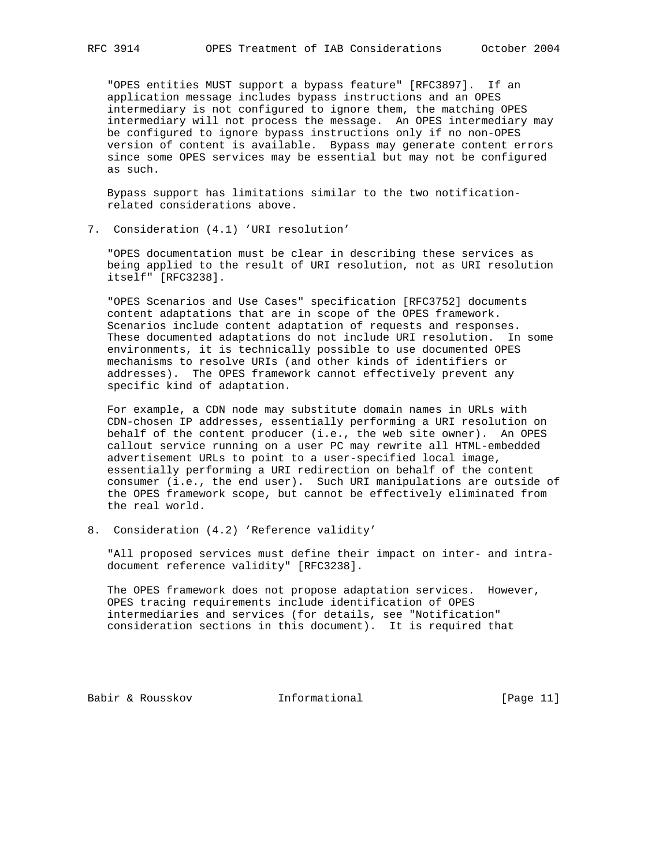"OPES entities MUST support a bypass feature" [RFC3897]. If an application message includes bypass instructions and an OPES intermediary is not configured to ignore them, the matching OPES intermediary will not process the message. An OPES intermediary may be configured to ignore bypass instructions only if no non-OPES version of content is available. Bypass may generate content errors since some OPES services may be essential but may not be configured as such.

 Bypass support has limitations similar to the two notification related considerations above.

7. Consideration (4.1) 'URI resolution'

 "OPES documentation must be clear in describing these services as being applied to the result of URI resolution, not as URI resolution itself" [RFC3238].

 "OPES Scenarios and Use Cases" specification [RFC3752] documents content adaptations that are in scope of the OPES framework. Scenarios include content adaptation of requests and responses. These documented adaptations do not include URI resolution. In some environments, it is technically possible to use documented OPES mechanisms to resolve URIs (and other kinds of identifiers or addresses). The OPES framework cannot effectively prevent any specific kind of adaptation.

 For example, a CDN node may substitute domain names in URLs with CDN-chosen IP addresses, essentially performing a URI resolution on behalf of the content producer (i.e., the web site owner). An OPES callout service running on a user PC may rewrite all HTML-embedded advertisement URLs to point to a user-specified local image, essentially performing a URI redirection on behalf of the content consumer (i.e., the end user). Such URI manipulations are outside of the OPES framework scope, but cannot be effectively eliminated from the real world.

8. Consideration (4.2) 'Reference validity'

 "All proposed services must define their impact on inter- and intra document reference validity" [RFC3238].

 The OPES framework does not propose adaptation services. However, OPES tracing requirements include identification of OPES intermediaries and services (for details, see "Notification" consideration sections in this document). It is required that

Babir & Rousskov **Informational** [Page 11]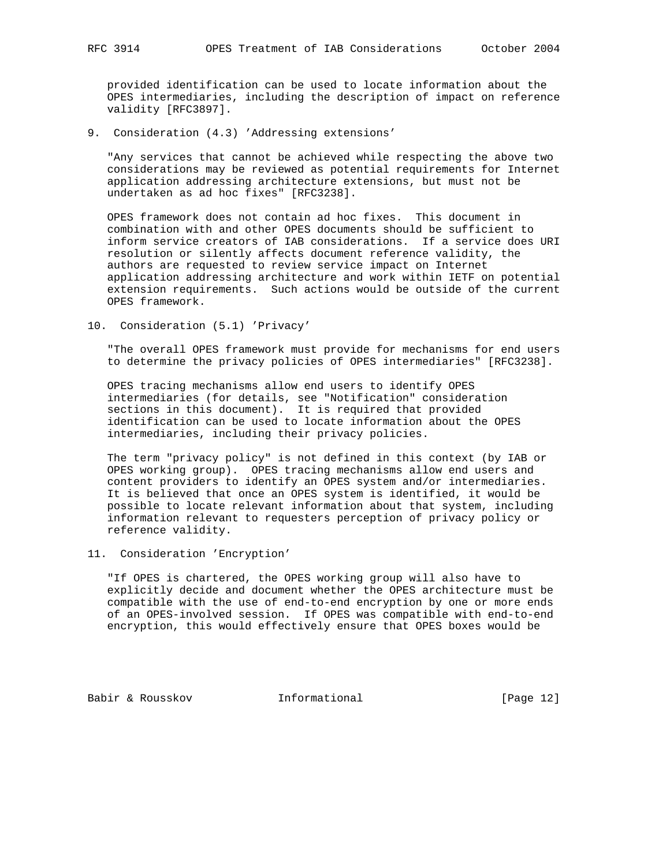provided identification can be used to locate information about the OPES intermediaries, including the description of impact on reference validity [RFC3897].

9. Consideration (4.3) 'Addressing extensions'

 "Any services that cannot be achieved while respecting the above two considerations may be reviewed as potential requirements for Internet application addressing architecture extensions, but must not be undertaken as ad hoc fixes" [RFC3238].

 OPES framework does not contain ad hoc fixes. This document in combination with and other OPES documents should be sufficient to inform service creators of IAB considerations. If a service does URI resolution or silently affects document reference validity, the authors are requested to review service impact on Internet application addressing architecture and work within IETF on potential extension requirements. Such actions would be outside of the current OPES framework.

10. Consideration (5.1) 'Privacy'

 "The overall OPES framework must provide for mechanisms for end users to determine the privacy policies of OPES intermediaries" [RFC3238].

 OPES tracing mechanisms allow end users to identify OPES intermediaries (for details, see "Notification" consideration sections in this document). It is required that provided identification can be used to locate information about the OPES intermediaries, including their privacy policies.

 The term "privacy policy" is not defined in this context (by IAB or OPES working group). OPES tracing mechanisms allow end users and content providers to identify an OPES system and/or intermediaries. It is believed that once an OPES system is identified, it would be possible to locate relevant information about that system, including information relevant to requesters perception of privacy policy or reference validity.

11. Consideration 'Encryption'

 "If OPES is chartered, the OPES working group will also have to explicitly decide and document whether the OPES architecture must be compatible with the use of end-to-end encryption by one or more ends of an OPES-involved session. If OPES was compatible with end-to-end encryption, this would effectively ensure that OPES boxes would be

Babir & Rousskov **Informational** [Page 12]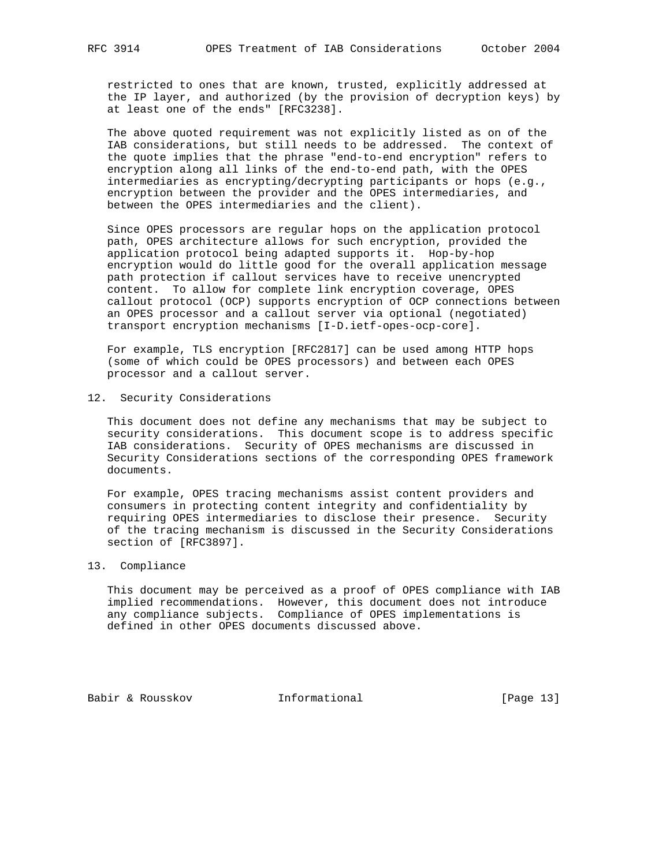restricted to ones that are known, trusted, explicitly addressed at the IP layer, and authorized (by the provision of decryption keys) by at least one of the ends" [RFC3238].

 The above quoted requirement was not explicitly listed as on of the IAB considerations, but still needs to be addressed. The context of the quote implies that the phrase "end-to-end encryption" refers to encryption along all links of the end-to-end path, with the OPES intermediaries as encrypting/decrypting participants or hops (e.g., encryption between the provider and the OPES intermediaries, and between the OPES intermediaries and the client).

 Since OPES processors are regular hops on the application protocol path, OPES architecture allows for such encryption, provided the application protocol being adapted supports it. Hop-by-hop encryption would do little good for the overall application message path protection if callout services have to receive unencrypted content. To allow for complete link encryption coverage, OPES callout protocol (OCP) supports encryption of OCP connections between an OPES processor and a callout server via optional (negotiated) transport encryption mechanisms [I-D.ietf-opes-ocp-core].

 For example, TLS encryption [RFC2817] can be used among HTTP hops (some of which could be OPES processors) and between each OPES processor and a callout server.

#### 12. Security Considerations

 This document does not define any mechanisms that may be subject to security considerations. This document scope is to address specific IAB considerations. Security of OPES mechanisms are discussed in Security Considerations sections of the corresponding OPES framework documents.

 For example, OPES tracing mechanisms assist content providers and consumers in protecting content integrity and confidentiality by requiring OPES intermediaries to disclose their presence. Security of the tracing mechanism is discussed in the Security Considerations section of [RFC3897].

### 13. Compliance

 This document may be perceived as a proof of OPES compliance with IAB implied recommendations. However, this document does not introduce any compliance subjects. Compliance of OPES implementations is defined in other OPES documents discussed above.

Babir & Rousskov **Informational** [Page 13]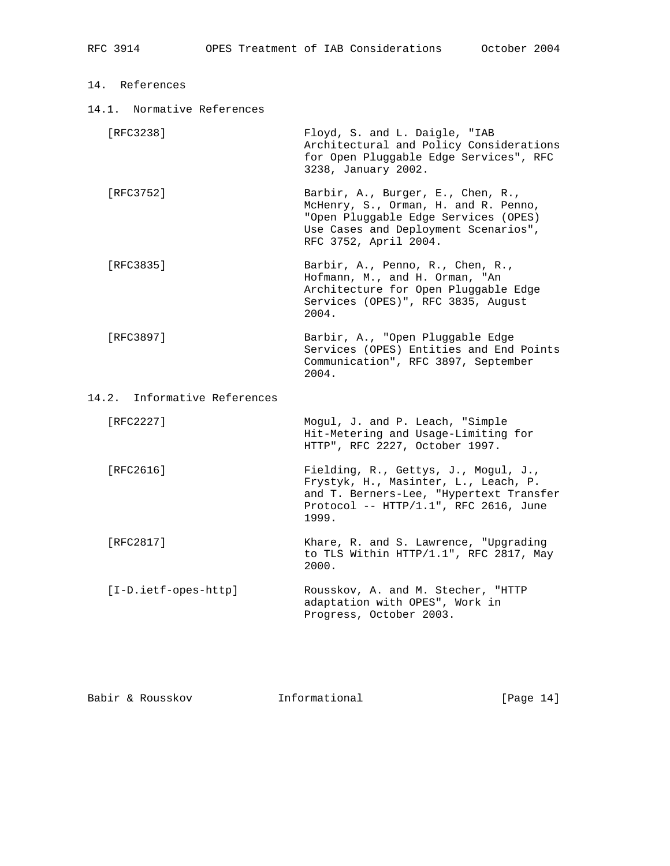| 14. | References |
|-----|------------|
|     |            |

14.1. Normative References

| [RFC3238] | Floyd, S. and L. Daigle, "IAB<br>Architectural and Policy Considerations |
|-----------|--------------------------------------------------------------------------|
|           | for Open Pluggable Edge Services", RFC<br>3238, January 2002.            |
| [RFC3752] | Barbir, A., Burger, E., Chen, R.,                                        |

- McHenry, S., Orman, H. and R. Penno, "Open Pluggable Edge Services (OPES) Use Cases and Deployment Scenarios", RFC 3752, April 2004.
	- [RFC3835] Barbir, A., Penno, R., Chen, R., Hofmann, M., and H. Orman, "An Architecture for Open Pluggable Edge Services (OPES)", RFC 3835, August 2004.
	- [RFC3897] Barbir, A., "Open Pluggable Edge Services (OPES) Entities and End Points Communication", RFC 3897, September 2004.
- 14.2. Informative References

| [RFC2227]              | Mogul, J. and P. Leach, "Simple<br>Hit-Metering and Usage-Limiting for<br>HTTP", RFC 2227, October 1997.                                                                  |
|------------------------|---------------------------------------------------------------------------------------------------------------------------------------------------------------------------|
| [RFC2616]              | Fielding, R., Gettys, J., Mogul, J.,<br>Frystyk, H., Masinter, L., Leach, P.<br>and T. Berners-Lee, "Hypertext Transfer<br>Protocol -- HTTP/1.1", RFC 2616, June<br>1999. |
| [RFC2817]              | Khare, R. and S. Lawrence, "Upgrading<br>to TLS Within HTTP/1.1", RFC 2817, May<br>2000.                                                                                  |
| $[I-D.ietf-opes-http]$ | Rousskov, A. and M. Stecher, "HTTP<br>adaptation with OPES", Work in<br>Progress, October 2003.                                                                           |

Babir & Rousskov Informational [Page 14]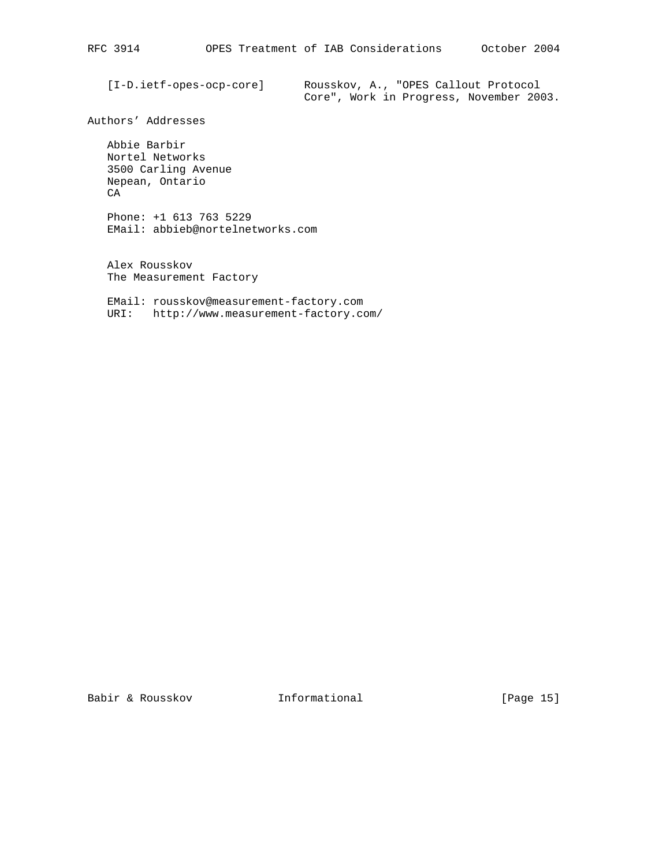[I-D.ietf-opes-ocp-core] Rousskov, A., "OPES Callout Protocol Core", Work in Progress, November 2003.

Authors' Addresses

 Abbie Barbir Nortel Networks 3500 Carling Avenue Nepean, Ontario CA

 Phone: +1 613 763 5229 EMail: abbieb@nortelnetworks.com

 Alex Rousskov The Measurement Factory

 EMail: rousskov@measurement-factory.com URI: http://www.measurement-factory.com/